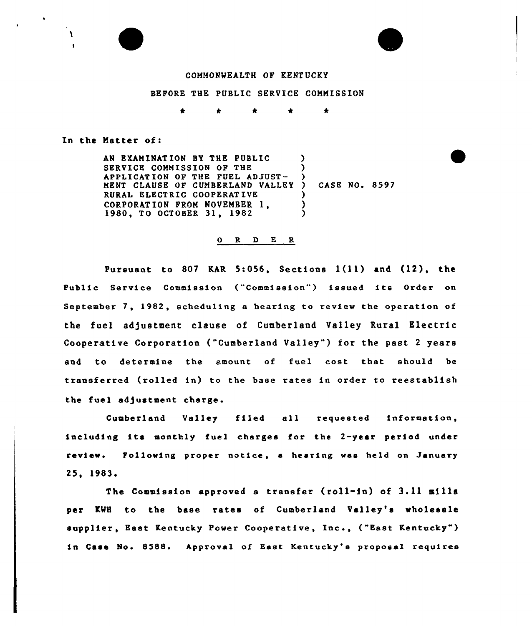#### COMMONWEALTH OF KENTUCKY

### BEFORE THE PUBLIC SERVICE COMNISSION

#### In the Natter of:

 $\mathbf{A}$ 

AN EXANINAT ION BY THE PUBLIC SERVICE COMMISSION OF THE APPLICATION OF THE FUEL ADJUST-MENT CLAUSE OF CUMBERLAND VALLEY RURAL ELECTRIC COOPERAT IVE CORPORATION FROM NOVEMBER 1, 1980, TO OCTOBER 31, <sup>1982</sup> ) ) ) ) CASE NQ. 8597  $\lambda$ ) )

#### 0 R <sup>D</sup> E R

Pursuant to <sup>807</sup> KAR 5:056, Sections 1(11) and (12), the Public Service Commission ("Commission") issued its Order on September 7, 1982, scheduling e hearing to review the operation of the fuel adjustment clause of Cumberland Valley Rural Electric Cooperative Corporation ("Cumberland Valley") for the past 2 years and to determine the amount of fuel cost that should be transferred (rolled in) to the base rates in order to reestablish the fuel adjustment charge.

Cumberland Valley filed all requested information including its monthly fuel charges for the 2-year period under review. Following proper notice, a hearing was held on January 25, 1983

The Commission approved a transfer (roll-in) of 3.11 mills per KWH to the base rates of Cumberland Valley's wholesale supplier, East Kentucky Power Cooperative, Inc., ("East Kentucky") in Case No. 8588. Approval of East Kentucky's proposal requires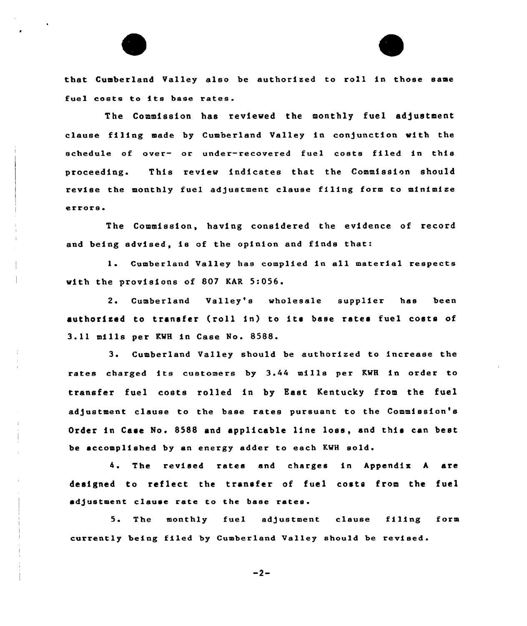that Cumberland Valley also be authorised to roll in those same fuel costs to its base rates.

The Commission has reviewed the monthly fuel adjustment clause filing made by Cumberland Valley in conjunction with the schedule of over- or under-recovered fuel costs filed in this proceeding. This review indicates that the Commission should revise the monthly fuel adjustment clause filing form to minimize errors

The Commission, having considered the evidence of record and being advised, is of the opinion and finds that:

<sup>1</sup> Cumberland Valley has complied in all material respects with the provisions of 807 KAR 5:056.

2. Cumberland Valley's wholesale supplier has been authorized to transfer (roll in) to its base rates fuel costs of 3.11 mills per KWH in Case No. 8588.

3. Cumberland Valley should be authorised to increase the rates charged its customers by 3.44 mills per KWH in order to transfer fuel costs rolled in by East Kentucky from the fuel adjustment clause to the base rates pursuant to the Commission's Order in Case No, 8588 and applicable line loss, and this can best be accomplished by an energy adder to each KWH sold.

4. The revised rates and charges in Appendix A are designed to reflect the transfer of fuel costs from the fuel adjustment clause rate to the base rates.

5. The monthly fuel adjustment clause filing form currently being filed by Cumberland Valley should be revised.

 $-2-$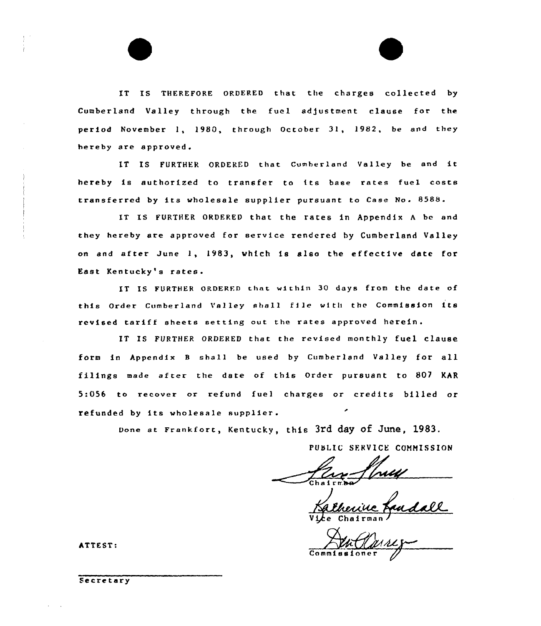IT IS THEREFORE ORDERED that the charges collected by Cumberland Valley through the fuel adjustment clause for the period November 1, 1980, through October 31, 1982, be and they hereby are approved.

IT IS FURTHER ORDERED that Cumberland Valley be and it hereby is authorized to transfer to its base rates fuel costs transferred by its wholesale supplier pursuant to Case No. 8588.

IT IS FURTHER ORDERED that the rates in Appendix A be and they hereby are approved for service rendered by Cumberland Valley on and after June 1, 1983, which is also the effective date for East Kentucky's rates.

IT IS FURTHER ORDERED that within 30 days from the date of this Ordex Cumberland Valley shell f1le with tbe Commission its revised tariff sheets setting out the rates approved herein.

IT IS FURTHER ORDERED that the revised monthly fuel clause form in Appendix <sup>B</sup> shall be used by Cumberland Valley for all filings made after the date of this Order pursuant to 807 KAR 5xOS6 to recover or refund fuel charges or credits billed or refunded by its wholesale supplier.

Done at Frankfort, Kentucky, this 3rd day Of June, 1983.

PUSLIC SERVICE COMMISSION

Vice Chairman

ATTEST:

Secretary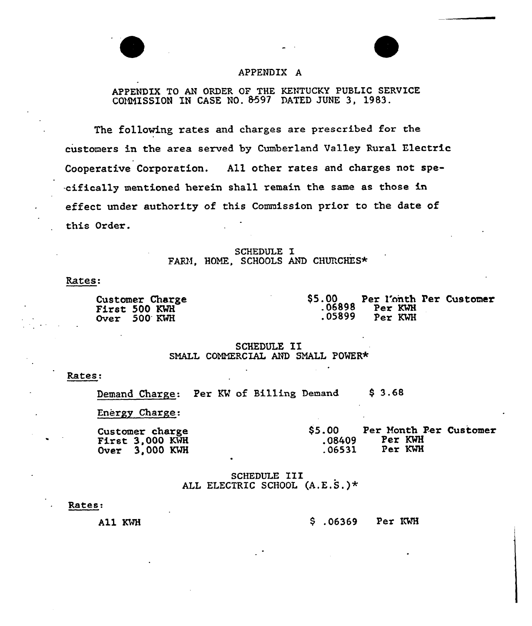# APPENDIX A

APPENDIX TO AN ORDER OF THE KENTUCKY PUBLIC SERVICE COMMISSION IN CASE NO. \$592 DATED JUNE 3, 1983.

The following rates and charges are prescribed fox the customers in the area served by Cumberland Valley Rural Electric Cooperative Corporation. All other rates and charges not spe- -cifically mentioned herein shall remain the same as those in effect under authority of this Commission prior to the date of this Order.

> SCHEDULE I FARM, HOME, SCHOOLS AND CHURCHES\*

Rates:

Customer Charge First <sup>500</sup> KMH Over 500'MH

\$5.00 Per l'onth Per Customer<br>106898 Per KWH<br>105899 Per KWH Per KWH

SCHEDULE II SMALL COMMERCIAL AND SMALL POWER\*

Rates:

Demand Charge: Per KV of Billing Demand \$ 3.6&

Energy Charge:

Customer charge<br>First 3,000 KWH Over 3,000 KWH \$5.00 Per Month Per Customer<br>08409 Per KWH Per KWH<br>Per KWH  $.06531$ 

SCHEDULE III ALI ELECTRIC SCHOOL (A.E.S,)\*

#### Rates:

A11 KWH

.06369 Per IS%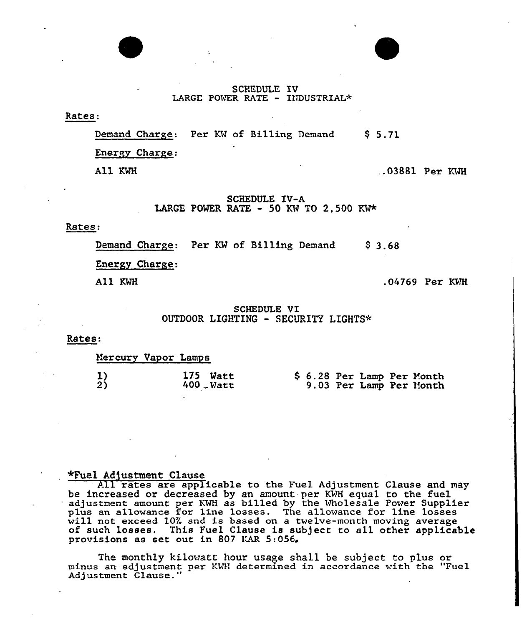## SCHEDULE IV LARGE POWER RATE - INDUSTRIAL\*

Rates:

Demand Charge: Per KW of Billing Demand \$ 5.71

Energy Charge:

All KWH

 $.03881$  Per KWH

SCHEDULE IV-A LARGE POWER RATE - 50 KW TO 2,500 KW\*

## Rates:

Demand Charge: Per KW of Billing Demand  $$3.68$ 

Energy Charge.

All KWH

.04769 Per

## SCHEDULE VI OUTDOOR LIGHTING - SECURITY LIGHTS\*

Rates:

Mercury Vapor Lamps

| L) | 175 Watt     |  |  | \$ 6.28 Per Lamp Per Month |
|----|--------------|--|--|----------------------------|
| 2) | $400$ . Watt |  |  | 9.03 Per Lamp Per Month    |

# \*Fuel Ad)ustment Clause

All rates are applicable to the Fuel Adjustment Clause and may be increased or decreased by an amount per KWH equal to the fuel adjustment amount per KMH as billed by the wholesale Power Supplier plus an allowance for line losses. The allowance for line losses will not exceed 10% and is based on a twelve-month moving average plus an allowance for the losses. The allowance for the losses<br>will not exceed 10% and is based on a twelve-month moving average<br>of such losses. This Fuel Clause is subject to all other applicabl of such losses. This Fuel Clause is s<br>provisions as set out in 807 KAR 5:056.

The monthly kilowatt hour usage shall be subject to plus or minus an adjustment per KWH determined in accordance with the "Fuel Adjustment Clause."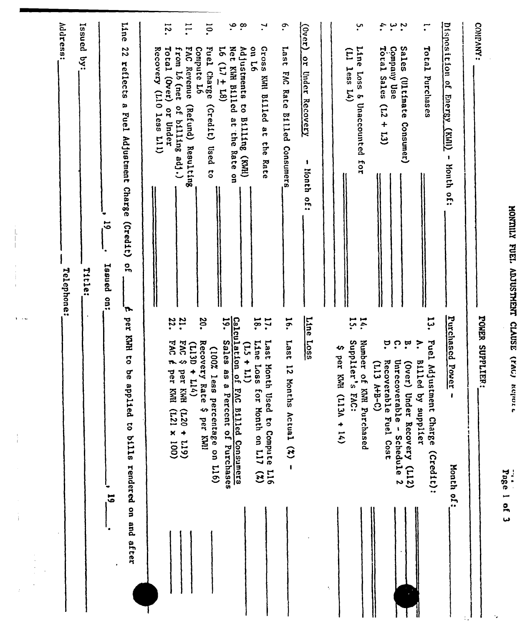|    |                                                                                           | Address:<br>Telephone:                                                         |
|----|-------------------------------------------------------------------------------------------|--------------------------------------------------------------------------------|
|    |                                                                                           | Issued<br>Š<br>Tiele:                                                          |
|    | $\overline{\overline{5}}$                                                                 | $\vec{5}$<br>Issued on:                                                        |
|    | per KWH to<br>be applied to bills rendered on and after                                   | Line<br>22<br>reflects<br>a Fuel Adjustment Charge (Credit)<br>o<br>S<br>י ש∤  |
|    |                                                                                           | Recovery (L10 less L11)                                                        |
|    | 22.<br>FAC É<br>per KMI<br>$(001 \times 127)$                                             | $\overline{5}$<br>Total (Over)<br>from L6 (net<br>of billing adj.)<br>or Under |
|    | :2<br>5.004<br>$(113D + L14)$<br>per KWH<br>$(611 + 027)$                                 | $\overline{11}$<br><b>EAC</b><br>Compute L6<br>Revenue<br>(Refund) Resulting   |
|    | 50.<br>Recovery Rat<br>(100% less<br>m<br>percentage on L16)<br>\$ per KWI                | <sup>10</sup><br>Fuel Charge<br>(21)<br>Used<br>$\overline{c}$                 |
|    | Calculation of FAC Billed Consumers<br>19. Sales as a Percent of Purchases                | ۹.<br>Net KWH B111cd<br>51<br>$(81 + 11)$<br>at the Rate on                    |
|    | $(11 + 11)$                                                                               | $\infty$<br>Adjustments to Billing (KWH)                                       |
|    | $\overline{8}$<br>:11<br>Last Month Used to Compute L16<br>Line Loss for Month on L17 (%) | $\mathbf{v}$<br>Ssoag<br>97 no<br>KWH Billed at<br>the<br>Rate                 |
|    | $\frac{1}{2}$<br><b>Last</b><br>$\vec{5}$<br>Months Actual (%)<br>$\mathbf{I}$            | $\cdot$<br>Last<br><b>DV3</b><br>Rate<br>B111ed Consumers                      |
|    | Line<br>$rac{1.055}{5}$                                                                   | $\frac{1}{2}$<br><b>Or</b><br><b>Under Recovery</b><br>1<br>Month of:          |
| ÷, |                                                                                           |                                                                                |
|    | 47<br>per KMH (L13A + 14)                                                                 | E<br>$1$ ess $L(4)$                                                            |
|    | Ϊ.<br>$\overline{5}$<br>Supplier's FAC:<br>Number of KNH Purchased                        | ب.<br>Line<br>Loss & Unaccounted for                                           |
|    | ë<br>Recoverable Fuel Cost<br>$(113 A + B - C)$                                           | $\ddot{\cdot}$<br>$r$ <sub>oral</sub> Sales (L2 + L3)                          |
|    | ု<br>'n,<br>Unrecove<br>(Over) Under Recovery<br>rable - Schedule 2<br>(115)              | $\cdot$ $\cdot$<br>Company Use<br>Sales (Ultimate Consumer)                    |
|    | ۲J<br>مو<br>Fuel Adjustment Charge<br>$\mathbf{z}$<br>Billed by supplier<br>(Cred1t):     | $\mathbf{r}$<br>Total<br>Purchases                                             |
|    | Purchased Power<br>ł<br><b>Honth of:</b>                                                  | Disposition of<br>Energy<br>$\overline{\text{(\text{max})}}$<br>- Month of:    |
|    | POWER SUPPLIER:                                                                           | COMPANY:                                                                       |
|    | Page 1 of 3                                                                               |                                                                                |
|    |                                                                                           | MONTILY FUEL ADJUSTMENT CLAUSE (YAU) Kejror                                    |

 $\frac{1}{4}$ 

 $\mathbf{j}$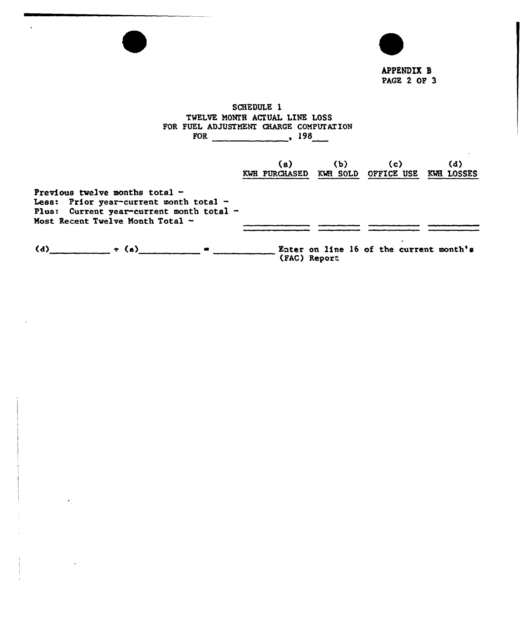APPENDIX 8 PAGE 2 OF 3

# SCHEDULE 1 TWELVE MONTH ACTUAL LINE LOSS FOR FUEL ADJUSTMENT CHARGE COMPUTATION FOR 198

|                                                                                                                                                            | (a)<br>KWH PURCHASED KWH SOLD OFFICE USE | (b) | (c)                                     | (d)<br>KWE LOSSES |
|------------------------------------------------------------------------------------------------------------------------------------------------------------|------------------------------------------|-----|-----------------------------------------|-------------------|
| Previous twelve months total $-$<br>Less: Prior year-current month total -<br>Plus: Current year-current month total -<br>Most Recent Twelve Month Total - |                                          |     |                                         |                   |
| (d) $\div$ (a)                                                                                                                                             | (FAC) Report                             |     | Eater on line 16 of the current month's |                   |

 $\bullet$ 

 $\ddot{\phantom{a}}$